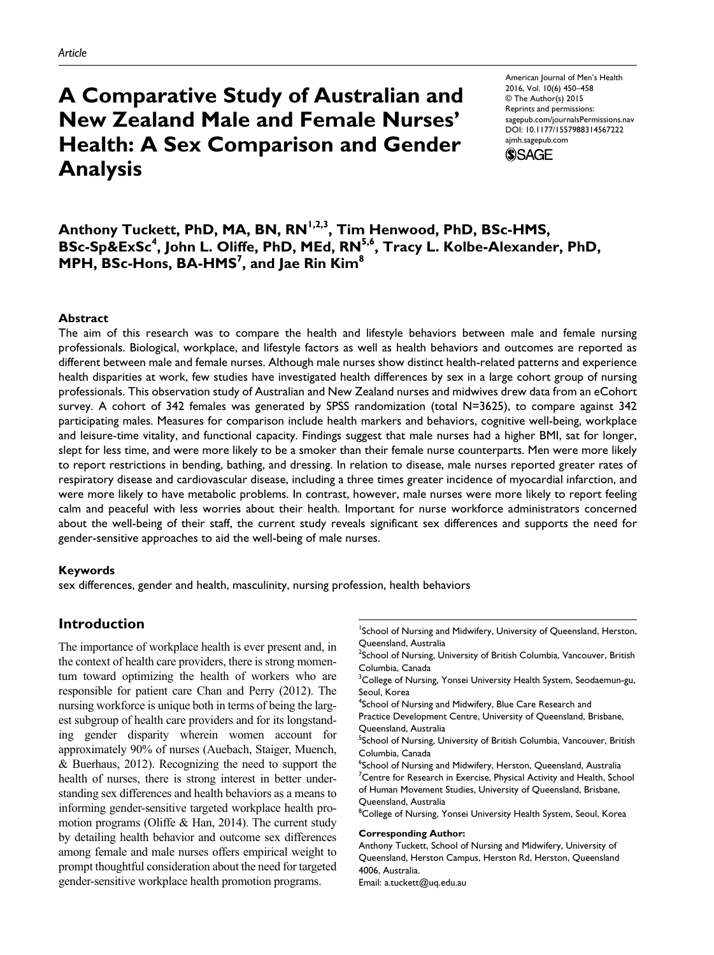# **A Comparative Study of Australian and New Zealand Male and Female Nurses' Health: A Sex Comparison and Gender Analysis**

American Journal of Men's Health 2016, Vol. 10(6) 450–458 © The Author(s) 2015 Reprints and permissions: sagepub.com/journalsPermissions.nav DOI: 10.1177/1557988314567222 ajmh.sagepub.com



# Anthony Tuckett, PhD, MA, BN, RN<sup>I,2,3</sup>, Tim Henwood, PhD, BSc-HMS, BSc-Sp&ExSc<sup>4</sup>, John L. Oliffe, PhD, MEd, RN<sup>5,6</sup>, Tracy L. Kolbe-Alexander, PhD, **MPH, BSc-Hons, BA-HMS7 , and Jae Rin Kim8**

#### **Abstract**

The aim of this research was to compare the health and lifestyle behaviors between male and female nursing professionals. Biological, workplace, and lifestyle factors as well as health behaviors and outcomes are reported as different between male and female nurses. Although male nurses show distinct health-related patterns and experience health disparities at work, few studies have investigated health differences by sex in a large cohort group of nursing professionals. This observation study of Australian and New Zealand nurses and midwives drew data from an eCohort survey. A cohort of 342 females was generated by SPSS randomization (total N=3625), to compare against 342 participating males. Measures for comparison include health markers and behaviors, cognitive well-being, workplace and leisure-time vitality, and functional capacity. Findings suggest that male nurses had a higher BMI, sat for longer, slept for less time, and were more likely to be a smoker than their female nurse counterparts. Men were more likely to report restrictions in bending, bathing, and dressing. In relation to disease, male nurses reported greater rates of respiratory disease and cardiovascular disease, including a three times greater incidence of myocardial infarction, and were more likely to have metabolic problems. In contrast, however, male nurses were more likely to report feeling calm and peaceful with less worries about their health. Important for nurse workforce administrators concerned about the well-being of their staff, the current study reveals significant sex differences and supports the need for gender-sensitive approaches to aid the well-being of male nurses.

#### **Keywords**

sex differences, gender and health, masculinity, nursing profession, health behaviors

## **Introduction**

The importance of workplace health is ever present and, in the context of health care providers, there is strong momentum toward optimizing the health of workers who are responsible for patient care Chan and Perry (2012). The nursing workforce is unique both in terms of being the largest subgroup of health care providers and for its longstanding gender disparity wherein women account for approximately 90% of nurses (Auebach, Staiger, Muench, & Buerhaus, 2012). Recognizing the need to support the health of nurses, there is strong interest in better understanding sex differences and health behaviors as a means to informing gender-sensitive targeted workplace health promotion programs (Oliffe & Han, 2014). The current study by detailing health behavior and outcome sex differences among female and male nurses offers empirical weight to prompt thoughtful consideration about the need for targeted gender-sensitive workplace health promotion programs.

<sup>1</sup>School of Nursing and Midwifery, University of Queensland, Herston, Queensland, Australia

 $^2$ School of Nursing, University of British Columbia, Vancouver, British Columbia, Canada

 $\rm{^{3}C}$ ollege of Nursing, Yonsei University Health System, Seodaemun-gu, Seoul, Korea

<sup>4</sup>School of Nursing and Midwifery, Blue Care Research and

Practice Development Centre, University of Queensland, Brisbane, Queensland, Australia

<sup>5</sup>School of Nursing, University of British Columbia, Vancouver, British Columbia, Canada

 $^6$ School of Nursing and Midwifery, Herston, Queensland, Australia  $7$ Centre for Research in Exercise, Physical Activity and Health, School of Human Movement Studies, University of Queensland, Brisbane, Queensland, Australia

<sup>8</sup>College of Nursing, Yonsei University Health System, Seoul, Korea

#### **Corresponding Author:**

Anthony Tuckett, School of Nursing and Midwifery, University of Queensland, Herston Campus, Herston Rd, Herston, Queensland 4006, Australia.

Email: [a.tuckett@uq.edu.au](mailto:a.tuckett@uq.edu.au)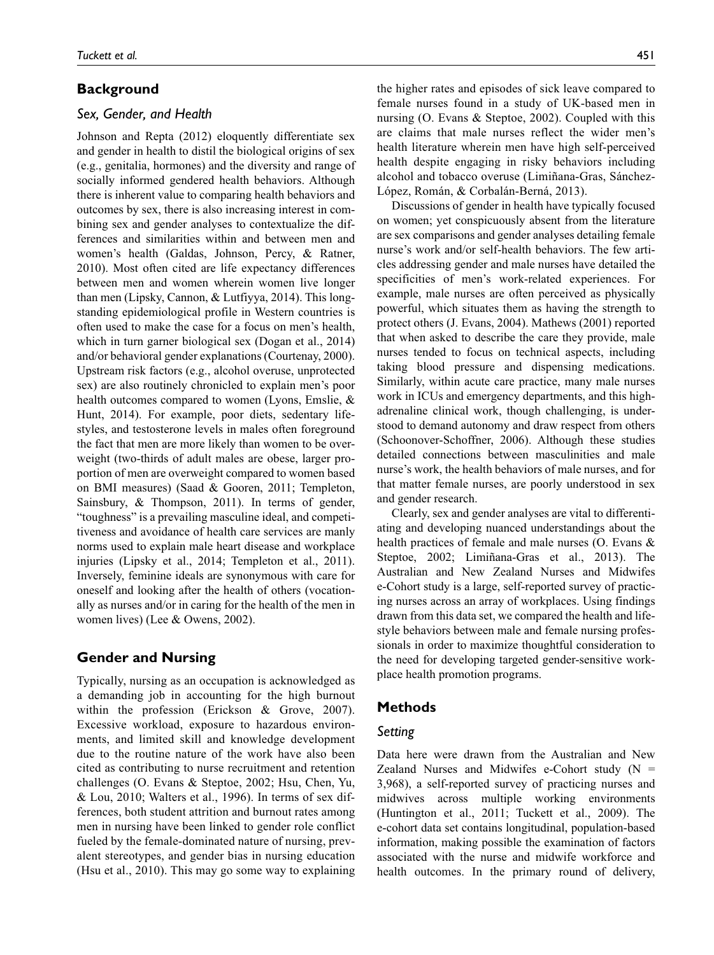# **Background**

#### *Sex, Gender, and Health*

Johnson and Repta (2012) eloquently differentiate sex and gender in health to distil the biological origins of sex (e.g., genitalia, hormones) and the diversity and range of socially informed gendered health behaviors. Although there is inherent value to comparing health behaviors and outcomes by sex, there is also increasing interest in combining sex and gender analyses to contextualize the differences and similarities within and between men and women's health (Galdas, Johnson, Percy, & Ratner, 2010). Most often cited are life expectancy differences between men and women wherein women live longer than men (Lipsky, Cannon, & Lutfiyya, 2014). This longstanding epidemiological profile in Western countries is often used to make the case for a focus on men's health, which in turn garner biological sex (Dogan et al., 2014) and/or behavioral gender explanations (Courtenay, 2000). Upstream risk factors (e.g., alcohol overuse, unprotected sex) are also routinely chronicled to explain men's poor health outcomes compared to women (Lyons, Emslie, & Hunt, 2014). For example, poor diets, sedentary lifestyles, and testosterone levels in males often foreground the fact that men are more likely than women to be overweight (two-thirds of adult males are obese, larger proportion of men are overweight compared to women based on BMI measures) (Saad & Gooren, 2011; Templeton, Sainsbury, & Thompson, 2011). In terms of gender, "toughness" is a prevailing masculine ideal, and competitiveness and avoidance of health care services are manly norms used to explain male heart disease and workplace injuries (Lipsky et al., 2014; Templeton et al., 2011). Inversely, feminine ideals are synonymous with care for oneself and looking after the health of others (vocationally as nurses and/or in caring for the health of the men in women lives) (Lee & Owens, 2002).

## **Gender and Nursing**

Typically, nursing as an occupation is acknowledged as a demanding job in accounting for the high burnout within the profession (Erickson & Grove, 2007). Excessive workload, exposure to hazardous environments, and limited skill and knowledge development due to the routine nature of the work have also been cited as contributing to nurse recruitment and retention challenges (O. Evans & Steptoe, 2002; Hsu, Chen, Yu, & Lou, 2010; Walters et al., 1996). In terms of sex differences, both student attrition and burnout rates among men in nursing have been linked to gender role conflict fueled by the female-dominated nature of nursing, prevalent stereotypes, and gender bias in nursing education (Hsu et al., 2010). This may go some way to explaining the higher rates and episodes of sick leave compared to female nurses found in a study of UK-based men in nursing (O. Evans & Steptoe, 2002). Coupled with this are claims that male nurses reflect the wider men's health literature wherein men have high self-perceived health despite engaging in risky behaviors including alcohol and tobacco overuse (Limiñana-Gras, Sánchez-López, Román, & Corbalán-Berná, 2013).

Discussions of gender in health have typically focused on women; yet conspicuously absent from the literature are sex comparisons and gender analyses detailing female nurse's work and/or self-health behaviors. The few articles addressing gender and male nurses have detailed the specificities of men's work-related experiences. For example, male nurses are often perceived as physically powerful, which situates them as having the strength to protect others (J. Evans, 2004). Mathews (2001) reported that when asked to describe the care they provide, male nurses tended to focus on technical aspects, including taking blood pressure and dispensing medications. Similarly, within acute care practice, many male nurses work in ICUs and emergency departments, and this highadrenaline clinical work, though challenging, is understood to demand autonomy and draw respect from others (Schoonover-Schoffner, 2006). Although these studies detailed connections between masculinities and male nurse's work, the health behaviors of male nurses, and for that matter female nurses, are poorly understood in sex and gender research.

Clearly, sex and gender analyses are vital to differentiating and developing nuanced understandings about the health practices of female and male nurses (O. Evans & Steptoe, 2002; Limiñana-Gras et al., 2013). The Australian and New Zealand Nurses and Midwifes e-Cohort study is a large, self-reported survey of practicing nurses across an array of workplaces. Using findings drawn from this data set, we compared the health and lifestyle behaviors between male and female nursing professionals in order to maximize thoughtful consideration to the need for developing targeted gender-sensitive workplace health promotion programs.

## **Methods**

## *Setting*

Data here were drawn from the Australian and New Zealand Nurses and Midwifes e-Cohort study  $(N =$ 3,968), a self-reported survey of practicing nurses and midwives across multiple working environments (Huntington et al., 2011; Tuckett et al., 2009). The e-cohort data set contains longitudinal, population-based information, making possible the examination of factors associated with the nurse and midwife workforce and health outcomes. In the primary round of delivery,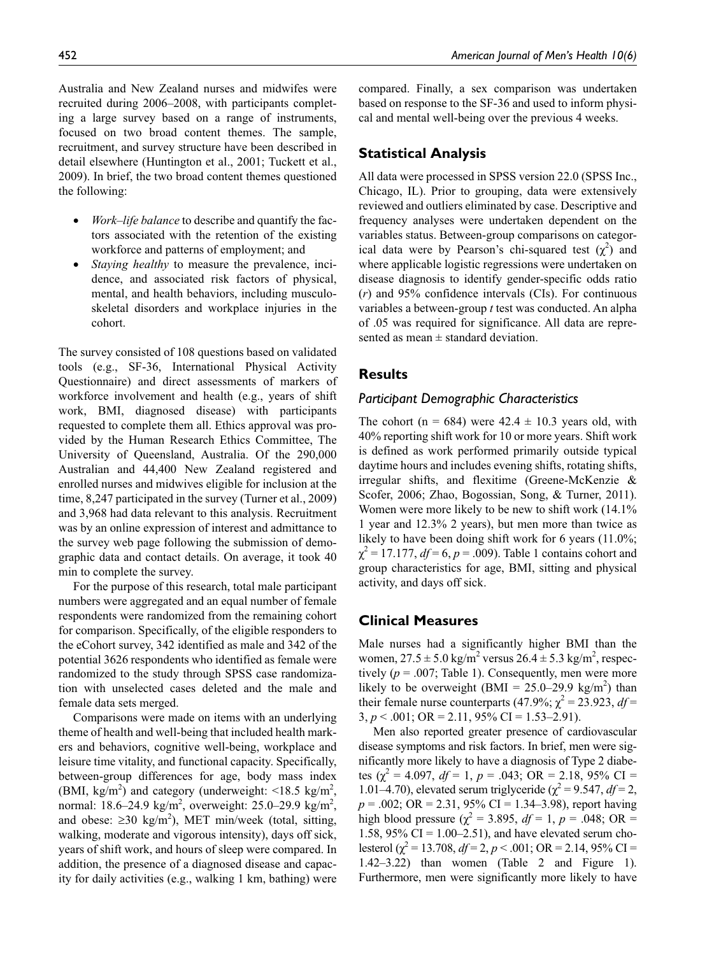Australia and New Zealand nurses and midwifes were recruited during 2006–2008, with participants completing a large survey based on a range of instruments, focused on two broad content themes. The sample, recruitment, and survey structure have been described in detail elsewhere (Huntington et al., 2001; Tuckett et al., 2009). In brief, the two broad content themes questioned the following:

- *Work–life balance* to describe and quantify the factors associated with the retention of the existing workforce and patterns of employment; and
- *Staying healthy* to measure the prevalence, incidence, and associated risk factors of physical, mental, and health behaviors, including musculoskeletal disorders and workplace injuries in the cohort.

The survey consisted of 108 questions based on validated tools (e.g., SF-36, International Physical Activity Questionnaire) and direct assessments of markers of workforce involvement and health (e.g., years of shift work, BMI, diagnosed disease) with participants requested to complete them all. Ethics approval was provided by the Human Research Ethics Committee, The University of Queensland, Australia. Of the 290,000 Australian and 44,400 New Zealand registered and enrolled nurses and midwives eligible for inclusion at the time, 8,247 participated in the survey (Turner et al., 2009) and 3,968 had data relevant to this analysis. Recruitment was by an online expression of interest and admittance to the survey web page following the submission of demographic data and contact details. On average, it took 40 min to complete the survey.

For the purpose of this research, total male participant numbers were aggregated and an equal number of female respondents were randomized from the remaining cohort for comparison. Specifically, of the eligible responders to the eCohort survey, 342 identified as male and 342 of the potential 3626 respondents who identified as female were randomized to the study through SPSS case randomization with unselected cases deleted and the male and female data sets merged.

Comparisons were made on items with an underlying theme of health and well-being that included health markers and behaviors, cognitive well-being, workplace and leisure time vitality, and functional capacity. Specifically, between-group differences for age, body mass index (BMI, kg/m<sup>2</sup>) and category (underweight:  $\leq 18.5$  kg/m<sup>2</sup>, normal: 18.6–24.9 kg/m<sup>2</sup>, overweight: 25.0–29.9 kg/m<sup>2</sup>, and obese:  $\geq$ 30 kg/m<sup>2</sup>), MET min/week (total, sitting, walking, moderate and vigorous intensity), days off sick, years of shift work, and hours of sleep were compared. In addition, the presence of a diagnosed disease and capacity for daily activities (e.g., walking 1 km, bathing) were

compared. Finally, a sex comparison was undertaken based on response to the SF-36 and used to inform physical and mental well-being over the previous 4 weeks.

#### **Statistical Analysis**

All data were processed in SPSS version 22.0 (SPSS Inc., Chicago, IL). Prior to grouping, data were extensively reviewed and outliers eliminated by case. Descriptive and frequency analyses were undertaken dependent on the variables status. Between-group comparisons on categorical data were by Pearson's chi-squared test  $(\chi^2)$  and where applicable logistic regressions were undertaken on disease diagnosis to identify gender-specific odds ratio (*r*) and 95% confidence intervals (CIs). For continuous variables a between-group *t* test was conducted. An alpha of .05 was required for significance. All data are represented as mean  $\pm$  standard deviation.

#### **Results**

#### *Participant Demographic Characteristics*

The cohort (n = 684) were  $42.4 \pm 10.3$  years old, with 40% reporting shift work for 10 or more years. Shift work is defined as work performed primarily outside typical daytime hours and includes evening shifts, rotating shifts, irregular shifts, and flexitime (Greene-McKenzie & Scofer, 2006; Zhao, Bogossian, Song, & Turner, 2011). Women were more likely to be new to shift work (14.1% 1 year and 12.3% 2 years), but men more than twice as likely to have been doing shift work for 6 years (11.0%;  $\chi^2 = 17.177, df = 6, p = .009$ ). Table 1 contains cohort and group characteristics for age, BMI, sitting and physical activity, and days off sick.

#### **Clinical Measures**

Male nurses had a significantly higher BMI than the women,  $27.5 \pm 5.0$  kg/m<sup>2</sup> versus  $26.4 \pm 5.3$  kg/m<sup>2</sup>, respectively  $(p = .007;$  Table 1). Consequently, men were more likely to be overweight  $(BMI = 25.0-29.9 \text{ kg/m}^2)$  than their female nurse counterparts (47.9%;  $\chi^2 = 23.923$ ,  $df =$  $3, p < .001$ ; OR = 2.11, 95% CI = 1.53–2.91).

Men also reported greater presence of cardiovascular disease symptoms and risk factors. In brief, men were significantly more likely to have a diagnosis of Type 2 diabetes  $\left(\chi^2 = 4.097, df = 1, p = .043; \text{ OR } = 2.18, 95\% \text{ CI } =$ 1.01–4.70), elevated serum triglyceride ( $\chi^2$  = 9.547, *df* = 2, *p* = .002; OR = 2.31, 95% CI = 1.34–3.98), report having high blood pressure ( $\chi^2 = 3.895$ ,  $df = 1$ ,  $p = .048$ ; OR = 1.58,  $95\%$  CI = 1.00–2.51), and have elevated serum cholesterol ( $\chi^2$  = 13.708,  $df$  = 2,  $p$  < .001; OR = 2.14, 95% CI = 1.42–3.22) than women (Table 2 and Figure 1). Furthermore, men were significantly more likely to have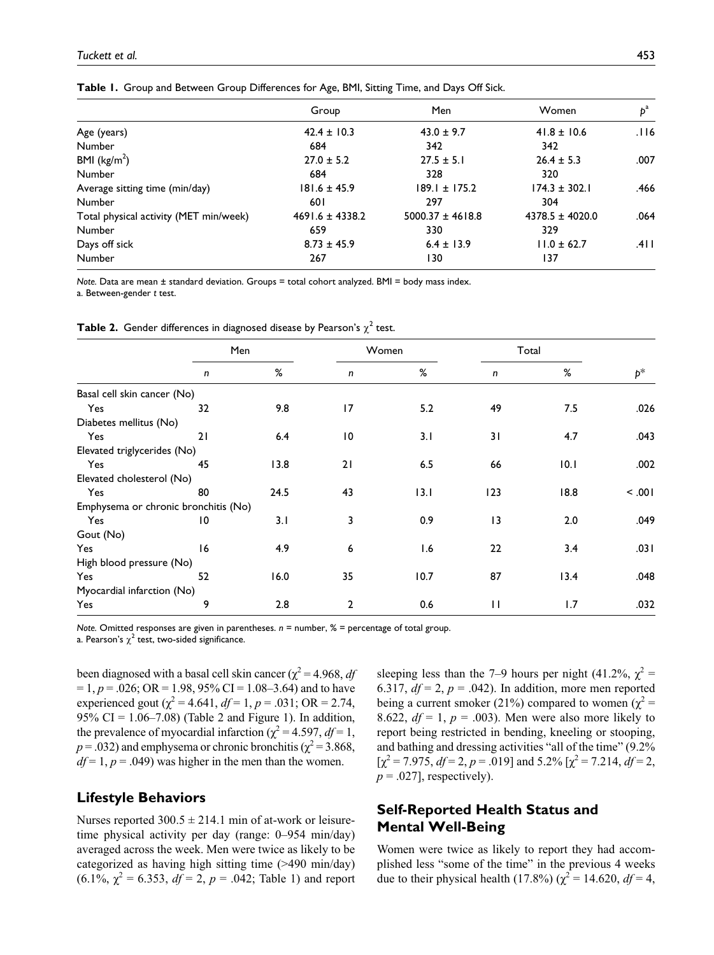|                                        | Group               | Men                  | Women               | $b^a$  |
|----------------------------------------|---------------------|----------------------|---------------------|--------|
| Age (years)                            | $42.4 \pm 10.3$     | $43.0 \pm 9.7$       | $41.8 \pm 10.6$     | .116   |
| <b>Number</b>                          | 684                 | 342                  | 342                 |        |
| BMI ( $\text{kg/m}^2$ )                | $27.0 \pm 5.2$      | $27.5 \pm 5.1$       | $26.4 \pm 5.3$      | .007   |
| Number                                 | 684                 | 328                  | 320                 |        |
| Average sitting time (min/day)         | $181.6 \pm 45.9$    | $189.1 \pm 175.2$    | $174.3 \pm 302.1$   | .466   |
| Number                                 | 60 I                | 297                  | 304                 |        |
| Total physical activity (MET min/week) | $4691.6 \pm 4338.2$ | $5000.37 \pm 4618.8$ | $4378.5 \pm 4020.0$ | .064   |
| Number                                 | 659                 | 330                  | 329                 |        |
| Days off sick                          | $8.73 \pm 45.9$     | $6.4 \pm 13.9$       | $11.0 \pm 62.7$     | .4 I I |
| Number                                 | 267                 | 130                  | 137                 |        |

**Table 1.** Group and Between Group Differences for Age, BMI, Sitting Time, and Days Off Sick.

*Note.* Data are mean ± standard deviation. Groups = total cohort analyzed. BMI = body mass index. a. Between-gender *t* test.

|  |  | <b>Table 2.</b> Gender differences in diagnosed disease by Pearson's $\chi^2$ test. |  |  |  |  |  |  |  |  |
|--|--|-------------------------------------------------------------------------------------|--|--|--|--|--|--|--|--|
|--|--|-------------------------------------------------------------------------------------|--|--|--|--|--|--|--|--|

|                                      |    | Men  |              | Women |              | Total |       |
|--------------------------------------|----|------|--------------|-------|--------------|-------|-------|
|                                      | n  | %    | n            | %     | n            | %     | $p^*$ |
| Basal cell skin cancer (No)          |    |      |              |       |              |       |       |
| Yes                                  | 32 | 9.8  | 17           | 5.2   | 49           | 7.5   | .026  |
| Diabetes mellitus (No)               |    |      |              |       |              |       |       |
| Yes                                  | 21 | 6.4  | 10           | 3.1   | 31           | 4.7   | .043  |
| Elevated triglycerides (No)          |    |      |              |       |              |       |       |
| Yes                                  | 45 | 13.8 | 21           | 6.5   | 66           | 10.1  | .002  |
| Elevated cholesterol (No)            |    |      |              |       |              |       |       |
| Yes                                  | 80 | 24.5 | 43           | 13.1  | 123          | 18.8  | 100.  |
| Emphysema or chronic bronchitis (No) |    |      |              |       |              |       |       |
| Yes                                  | 10 | 3.1  | 3            | 0.9   | 3            | 2.0   | .049  |
| Gout (No)                            |    |      |              |       |              |       |       |
| Yes                                  | 16 | 4.9  | 6            | 1.6   | 22           | 3.4   | .031  |
| High blood pressure (No)             |    |      |              |       |              |       |       |
| Yes                                  | 52 | 16.0 | 35           | 10.7  | 87           | 13.4  | .048  |
| Myocardial infarction (No)           |    |      |              |       |              |       |       |
| Yes                                  | 9  | 2.8  | $\mathbf{2}$ | 0.6   | $\mathbf{H}$ | 1.7   | .032  |

*Note.* Omitted responses are given in parentheses.  $n =$  number, % = percentage of total group.

a. Pearson's  $\chi^2$  test, two-sided significance.

been diagnosed with a basal cell skin cancer ( $\chi^2$  = 4.968, *df*  $= 1, p = .026$ ; OR  $= 1.98$ , 95% CI  $= 1.08 - 3.64$ ) and to have experienced gout ( $\chi^2$  = 4.641,  $df$  = 1,  $p$  = .031; OR = 2.74, 95% CI =  $1.06 - 7.08$ ) (Table 2 and Figure 1). In addition, the prevalence of myocardial infarction ( $\chi^2$  = 4.597, *df* = 1,  $p = .032$ ) and emphysema or chronic bronchitis ( $\chi^2 = 3.868$ ,  $df = 1$ ,  $p = .049$ ) was higher in the men than the women.

## **Lifestyle Behaviors**

Nurses reported  $300.5 \pm 214.1$  min of at-work or leisuretime physical activity per day (range: 0–954 min/day) averaged across the week. Men were twice as likely to be categorized as having high sitting time (>490 min/day)  $(6.1\%, \chi^2 = 6.353, df = 2, p = .042;$  Table 1) and report

sleeping less than the 7–9 hours per night (41.2%,  $\chi^2$  = 6.317,  $df = 2$ ,  $p = .042$ ). In addition, more men reported being a current smoker (21%) compared to women ( $\chi^2$  = 8.622,  $df = 1$ ,  $p = .003$ ). Men were also more likely to report being restricted in bending, kneeling or stooping, and bathing and dressing activities "all of the time" (9.2%  $[\chi^2 = 7.975, df = 2, p = .019]$  and 5.2%  $[\chi^2 = 7.214, df = 2,$  $p = .027$ ], respectively).

# **Self-Reported Health Status and Mental Well-Being**

Women were twice as likely to report they had accomplished less "some of the time" in the previous 4 weeks due to their physical health (17.8%) ( $\chi^2 = 14.620$ ,  $df = 4$ ,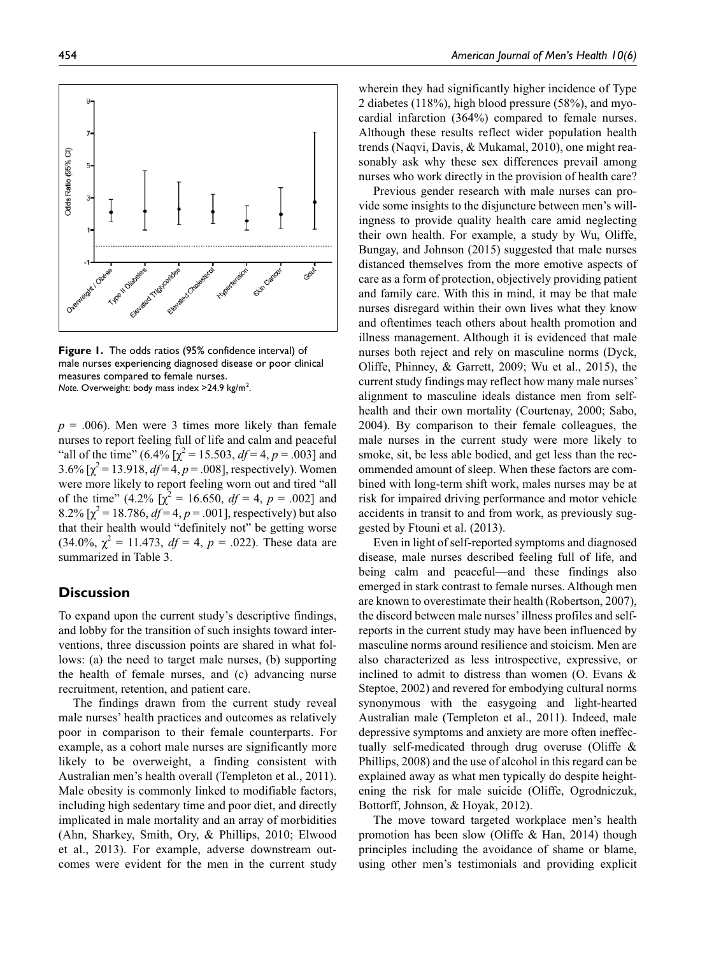**Figure 1.** The odds ratios (95% confidence interval) of male nurses experiencing diagnosed disease or poor clinical measures compared to female nurses. Note. Overweight: body mass index >24.9 kg/m<sup>2</sup>.

 $p = .006$ ). Men were 3 times more likely than female nurses to report feeling full of life and calm and peaceful "all of the time" (6.4%  $[\chi^2 = 15.503, df = 4, p = .003]$  and 3.6%  $[\chi^2 = 13.918, df = 4, p = .008]$ , respectively). Women were more likely to report feeling worn out and tired "all of the time"  $(4.2\% \sqrt{x^2} = 16.650, df = 4, p = .002]$  and  $8.2\%$  [ $\chi^2$  = 18.786,  $df = 4$ ,  $p = .001$ ], respectively) but also that their health would "definitely not" be getting worse  $(34.0\%, \chi^2 = 11.473, df = 4, p = .022)$ . These data are summarized in Table 3.

## **Discussion**

To expand upon the current study's descriptive findings, and lobby for the transition of such insights toward interventions, three discussion points are shared in what follows: (a) the need to target male nurses, (b) supporting the health of female nurses, and (c) advancing nurse recruitment, retention, and patient care.

The findings drawn from the current study reveal male nurses' health practices and outcomes as relatively poor in comparison to their female counterparts. For example, as a cohort male nurses are significantly more likely to be overweight, a finding consistent with Australian men's health overall (Templeton et al., 2011). Male obesity is commonly linked to modifiable factors, including high sedentary time and poor diet, and directly implicated in male mortality and an array of morbidities (Ahn, Sharkey, Smith, Ory, & Phillips, 2010; Elwood et al., 2013). For example, adverse downstream outcomes were evident for the men in the current study wherein they had significantly higher incidence of Type 2 diabetes (118%), high blood pressure (58%), and myocardial infarction (364%) compared to female nurses. Although these results reflect wider population health trends (Naqvi, Davis, & Mukamal, 2010), one might reasonably ask why these sex differences prevail among nurses who work directly in the provision of health care?

Previous gender research with male nurses can provide some insights to the disjuncture between men's willingness to provide quality health care amid neglecting their own health. For example, a study by Wu, Oliffe, Bungay, and Johnson (2015) suggested that male nurses distanced themselves from the more emotive aspects of care as a form of protection, objectively providing patient and family care. With this in mind, it may be that male nurses disregard within their own lives what they know and oftentimes teach others about health promotion and illness management. Although it is evidenced that male nurses both reject and rely on masculine norms (Dyck, Oliffe, Phinney, & Garrett, 2009; Wu et al., 2015), the current study findings may reflect how many male nurses' alignment to masculine ideals distance men from selfhealth and their own mortality (Courtenay, 2000; Sabo, 2004). By comparison to their female colleagues, the male nurses in the current study were more likely to smoke, sit, be less able bodied, and get less than the recommended amount of sleep. When these factors are combined with long-term shift work, males nurses may be at risk for impaired driving performance and motor vehicle accidents in transit to and from work, as previously suggested by Ftouni et al. (2013).

Even in light of self-reported symptoms and diagnosed disease, male nurses described feeling full of life, and being calm and peaceful—and these findings also emerged in stark contrast to female nurses. Although men are known to overestimate their health (Robertson, 2007), the discord between male nurses' illness profiles and selfreports in the current study may have been influenced by masculine norms around resilience and stoicism. Men are also characterized as less introspective, expressive, or inclined to admit to distress than women (O. Evans & Steptoe, 2002) and revered for embodying cultural norms synonymous with the easygoing and light-hearted Australian male (Templeton et al., 2011). Indeed, male depressive symptoms and anxiety are more often ineffectually self-medicated through drug overuse (Oliffe & Phillips, 2008) and the use of alcohol in this regard can be explained away as what men typically do despite heightening the risk for male suicide (Oliffe, Ogrodniczuk, Bottorff, Johnson, & Hoyak, 2012).

The move toward targeted workplace men's health promotion has been slow (Oliffe & Han, 2014) though principles including the avoidance of shame or blame, using other men's testimonials and providing explicit

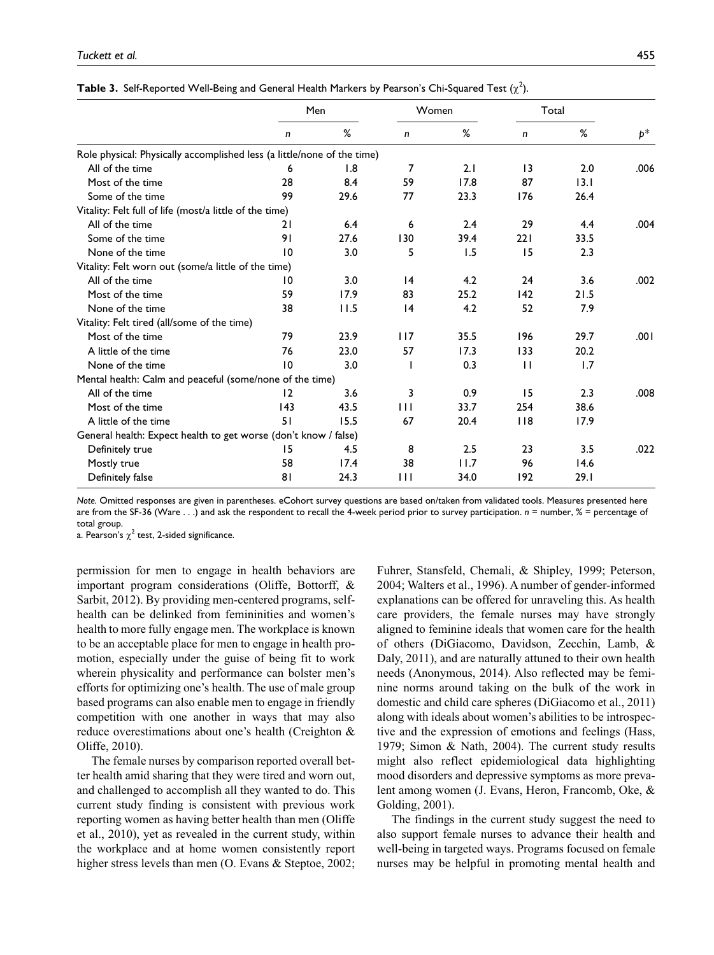|                                                                         |     | Men  |     | Women |              | Total |       |
|-------------------------------------------------------------------------|-----|------|-----|-------|--------------|-------|-------|
|                                                                         |     |      |     |       |              |       |       |
|                                                                         | n   | %    | n   | %     | n            | %     | $p^*$ |
| Role physical: Physically accomplished less (a little/none of the time) |     |      |     |       |              |       |       |
| All of the time                                                         | 6   | 1.8  | 7   | 2.1   | 3            | 2.0   | .006  |
| Most of the time                                                        | 28  | 8.4  | 59  | 17.8  | 87           | 13.1  |       |
| Some of the time                                                        | 99  | 29.6 | 77  | 23.3  | 176          | 26.4  |       |
| Vitality: Felt full of life (most/a little of the time)                 |     |      |     |       |              |       |       |
| All of the time                                                         | 21  | 6.4  | 6   | 2.4   | 29           | 4.4   | .004  |
| Some of the time                                                        | 91  | 27.6 | 130 | 39.4  | 221          | 33.5  |       |
| None of the time                                                        | 10  | 3.0  | 5   | 1.5   | 15           | 2.3   |       |
| Vitality: Felt worn out (some/a little of the time)                     |     |      |     |       |              |       |       |
| All of the time                                                         | 10  | 3.0  | 4   | 4.2   | 24           | 3.6   | .002  |
| Most of the time                                                        | 59  | 17.9 | 83  | 25.2  | 142          | 21.5  |       |
| None of the time                                                        | 38  | 11.5 | 4   | 4.2   | 52           | 7.9   |       |
| Vitality: Felt tired (all/some of the time)                             |     |      |     |       |              |       |       |
| Most of the time                                                        | 79  | 23.9 | 117 | 35.5  | 196          | 29.7  | .001  |
| A little of the time                                                    | 76  | 23.0 | 57  | 17.3  | 133          | 20.2  |       |
| None of the time                                                        | 10  | 3.0  |     | 0.3   | $\mathbf{1}$ | 1.7   |       |
| Mental health: Calm and peaceful (some/none of the time)                |     |      |     |       |              |       |       |
| All of the time                                                         | 12  | 3.6  | 3   | 0.9   | 15           | 2.3   | .008  |
| Most of the time                                                        | 143 | 43.5 | 111 | 33.7  | 254          | 38.6  |       |
| A little of the time                                                    | 51  | 15.5 | 67  | 20.4  | 118          | 17.9  |       |
| General health: Expect health to get worse (don't know / false)         |     |      |     |       |              |       |       |
| Definitely true                                                         | 15  | 4.5  | 8   | 2.5   | 23           | 3.5   | .022  |
| Mostly true                                                             | 58  | 17.4 | 38  | 11.7  | 96           | 14.6  |       |
| Definitely false                                                        | 81  | 24.3 | Ш   | 34.0  | 192          | 29.1  |       |

|  | <b>Table 3.</b> Self-Reported Well-Being and General Health Markers by Pearson's Chi-Squared Test $(\chi^2)$ . |  |  |
|--|----------------------------------------------------------------------------------------------------------------|--|--|
|  |                                                                                                                |  |  |

*Note.* Omitted responses are given in parentheses. eCohort survey questions are based on/taken from validated tools. Measures presented here are from the SF-36 (Ware . . .) and ask the respondent to recall the 4-week period prior to survey participation. *n* = number, % = percentage of total group.

a. Pearson's  $\chi^2$  test, 2-sided significance.

permission for men to engage in health behaviors are important program considerations (Oliffe, Bottorff, & Sarbit, 2012). By providing men-centered programs, selfhealth can be delinked from femininities and women's health to more fully engage men. The workplace is known to be an acceptable place for men to engage in health promotion, especially under the guise of being fit to work wherein physicality and performance can bolster men's efforts for optimizing one's health. The use of male group based programs can also enable men to engage in friendly competition with one another in ways that may also reduce overestimations about one's health (Creighton & Oliffe, 2010).

The female nurses by comparison reported overall better health amid sharing that they were tired and worn out, and challenged to accomplish all they wanted to do. This current study finding is consistent with previous work reporting women as having better health than men (Oliffe et al., 2010), yet as revealed in the current study, within the workplace and at home women consistently report higher stress levels than men (O. Evans & Steptoe, 2002;

Fuhrer, Stansfeld, Chemali, & Shipley, 1999; Peterson, 2004; Walters et al., 1996). A number of gender-informed explanations can be offered for unraveling this. As health care providers, the female nurses may have strongly aligned to feminine ideals that women care for the health of others (DiGiacomo, Davidson, Zecchin, Lamb, & Daly, 2011), and are naturally attuned to their own health needs (Anonymous, 2014). Also reflected may be feminine norms around taking on the bulk of the work in domestic and child care spheres (DiGiacomo et al., 2011) along with ideals about women's abilities to be introspective and the expression of emotions and feelings (Hass, 1979; Simon & Nath, 2004). The current study results might also reflect epidemiological data highlighting mood disorders and depressive symptoms as more prevalent among women (J. Evans, Heron, Francomb, Oke, & Golding, 2001).

The findings in the current study suggest the need to also support female nurses to advance their health and well-being in targeted ways. Programs focused on female nurses may be helpful in promoting mental health and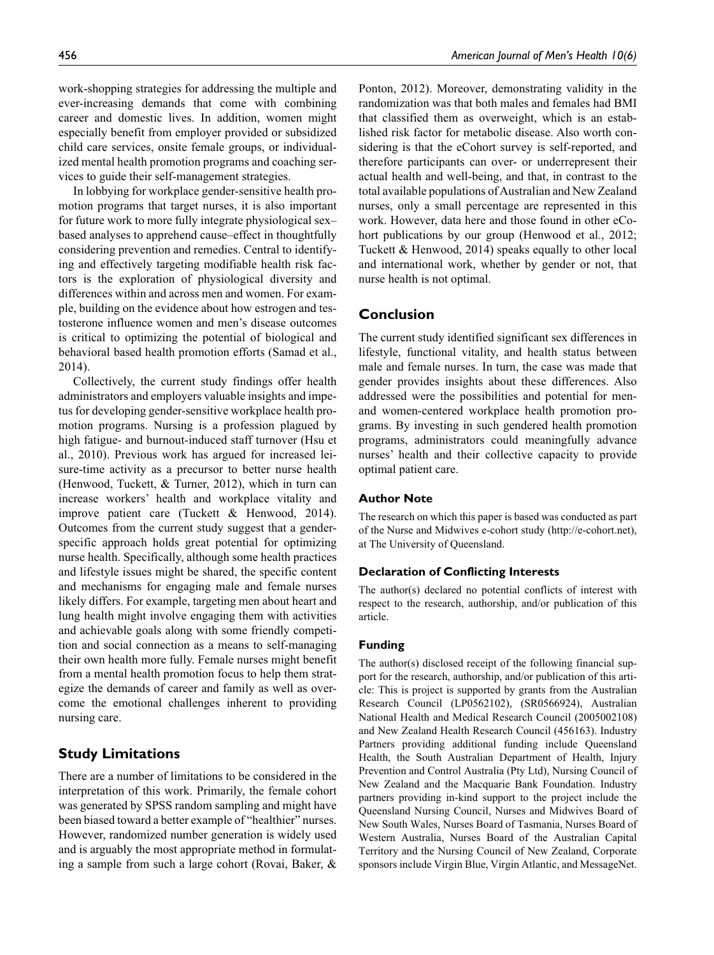work-shopping strategies for addressing the multiple and ever-increasing demands that come with combining career and domestic lives. In addition, women might especially benefit from employer provided or subsidized child care services, onsite female groups, or individualized mental health promotion programs and coaching services to guide their self-management strategies.

In lobbying for workplace gender-sensitive health promotion programs that target nurses, it is also important for future work to more fully integrate physiological sex– based analyses to apprehend cause–effect in thoughtfully considering prevention and remedies. Central to identifying and effectively targeting modifiable health risk factors is the exploration of physiological diversity and differences within and across men and women. For example, building on the evidence about how estrogen and testosterone influence women and men's disease outcomes is critical to optimizing the potential of biological and behavioral based health promotion efforts (Samad et al., 2014).

Collectively, the current study findings offer health administrators and employers valuable insights and impetus for developing gender-sensitive workplace health promotion programs. Nursing is a profession plagued by high fatigue- and burnout-induced staff turnover (Hsu et al., 2010). Previous work has argued for increased leisure-time activity as a precursor to better nurse health (Henwood, Tuckett, & Turner, 2012), which in turn can increase workers' health and workplace vitality and improve patient care (Tuckett & Henwood, 2014). Outcomes from the current study suggest that a genderspecific approach holds great potential for optimizing nurse health. Specifically, although some health practices and lifestyle issues might be shared, the specific content and mechanisms for engaging male and female nurses likely differs. For example, targeting men about heart and lung health might involve engaging them with activities and achievable goals along with some friendly competition and social connection as a means to self-managing their own health more fully. Female nurses might benefit from a mental health promotion focus to help them strategize the demands of career and family as well as overcome the emotional challenges inherent to providing nursing care.

# **Study Limitations**

There are a number of limitations to be considered in the interpretation of this work. Primarily, the female cohort was generated by SPSS random sampling and might have been biased toward a better example of "healthier" nurses. However, randomized number generation is widely used and is arguably the most appropriate method in formulating a sample from such a large cohort (Rovai, Baker, & Ponton, 2012). Moreover, demonstrating validity in the randomization was that both males and females had BMI that classified them as overweight, which is an established risk factor for metabolic disease. Also worth considering is that the eCohort survey is self-reported, and therefore participants can over- or underrepresent their actual health and well-being, and that, in contrast to the total available populations of Australian and New Zealand nurses, only a small percentage are represented in this work. However, data here and those found in other eCohort publications by our group (Henwood et al., 2012; Tuckett & Henwood, 2014) speaks equally to other local and international work, whether by gender or not, that nurse health is not optimal.

#### **Conclusion**

The current study identified significant sex differences in lifestyle, functional vitality, and health status between male and female nurses. In turn, the case was made that gender provides insights about these differences. Also addressed were the possibilities and potential for menand women-centered workplace health promotion programs. By investing in such gendered health promotion programs, administrators could meaningfully advance nurses' health and their collective capacity to provide optimal patient care.

#### **Author Note**

The research on which this paper is based was conducted as part of the Nurse and Midwives e-cohort study ([http://e-cohort.net\)](http://e-cohort.net), at The University of Queensland.

#### **Declaration of Conflicting Interests**

The author(s) declared no potential conflicts of interest with respect to the research, authorship, and/or publication of this article.

#### **Funding**

The author(s) disclosed receipt of the following financial support for the research, authorship, and/or publication of this article: This is project is supported by grants from the Australian Research Council (LP0562102), (SR0566924), Australian National Health and Medical Research Council (2005002108) and New Zealand Health Research Council (456163). Industry Partners providing additional funding include Queensland Health, the South Australian Department of Health, Injury Prevention and Control Australia (Pty Ltd), Nursing Council of New Zealand and the Macquarie Bank Foundation. Industry partners providing in-kind support to the project include the Queensland Nursing Council, Nurses and Midwives Board of New South Wales, Nurses Board of Tasmania, Nurses Board of Western Australia, Nurses Board of the Australian Capital Territory and the Nursing Council of New Zealand, Corporate sponsors include Virgin Blue, Virgin Atlantic, and MessageNet.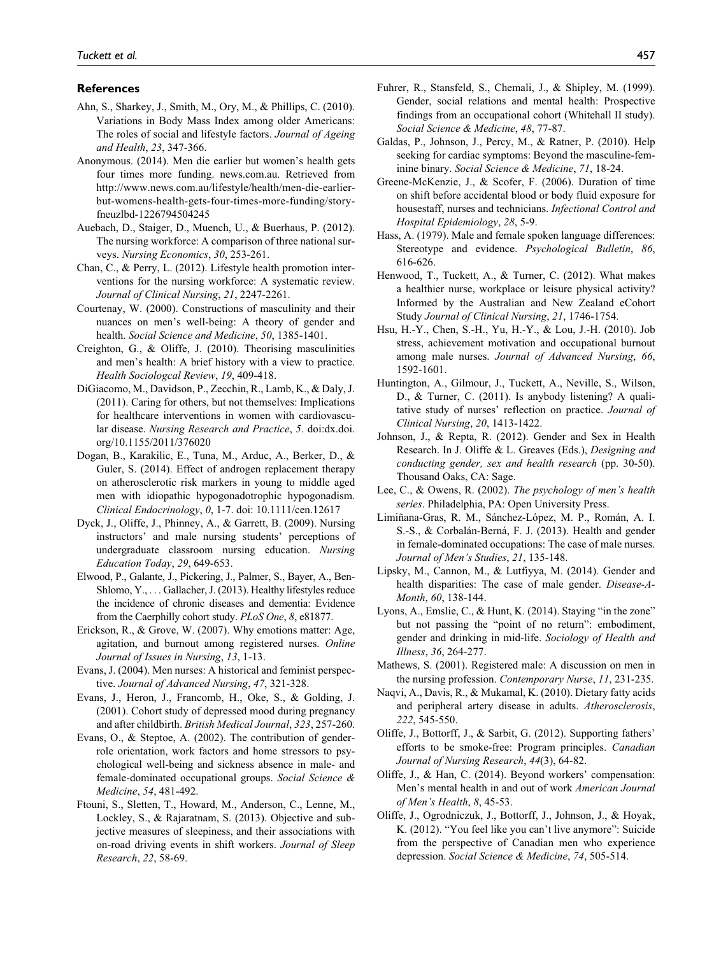#### **References**

- Ahn, S., Sharkey, J., Smith, M., Ory, M., & Phillips, C. (2010). Variations in Body Mass Index among older Americans: The roles of social and lifestyle factors. *Journal of Ageing and Health*, *23*, 347-366.
- Anonymous. (2014). Men die earlier but women's health gets four times more funding. news.com.au. Retrieved from [http://www.news.com.au/lifestyle/health/men-die-earlier](http://www.news.com.au/lifestyle/health/men-die-earlier-but-womens-health-gets-four-times-more-funding/story-fneuzlbd-1226794504245)[but-womens-health-gets-four-times-more-funding/story](http://www.news.com.au/lifestyle/health/men-die-earlier-but-womens-health-gets-four-times-more-funding/story-fneuzlbd-1226794504245)[fneuzlbd-1226794504245](http://www.news.com.au/lifestyle/health/men-die-earlier-but-womens-health-gets-four-times-more-funding/story-fneuzlbd-1226794504245)
- Auebach, D., Staiger, D., Muench, U., & Buerhaus, P. (2012). The nursing workforce: A comparison of three national surveys. *Nursing Economics*, *30*, 253-261.
- Chan, C., & Perry, L. (2012). Lifestyle health promotion interventions for the nursing workforce: A systematic review. *Journal of Clinical Nursing*, *21*, 2247-2261.
- Courtenay, W. (2000). Constructions of masculinity and their nuances on men's well-being: A theory of gender and health. *Social Science and Medicine*, *50*, 1385-1401.
- Creighton, G., & Oliffe, J. (2010). Theorising masculinities and men's health: A brief history with a view to practice. *Health Sociologcal Review*, *19*, 409-418.
- DiGiacomo, M., Davidson, P., Zecchin, R., Lamb, K., & Daly, J. (2011). Caring for others, but not themselves: Implications for healthcare interventions in women with cardiovascular disease. *Nursing Research and Practice*, *5*. doi:dx.doi. org/10.1155/2011/376020
- Dogan, B., Karakilic, E., Tuna, M., Arduc, A., Berker, D., & Guler, S. (2014). Effect of androgen replacement therapy on atherosclerotic risk markers in young to middle aged men with idiopathic hypogonadotrophic hypogonadism. *Clinical Endocrinology*, *0*, 1-7. doi: 10.1111/cen.12617
- Dyck, J., Oliffe, J., Phinney, A., & Garrett, B. (2009). Nursing instructors' and male nursing students' perceptions of undergraduate classroom nursing education. *Nursing Education Today*, *29*, 649-653.
- Elwood, P., Galante, J., Pickering, J., Palmer, S., Bayer, A., Ben-Shlomo, Y., . . . Gallacher, J. (2013). Healthy lifestyles reduce the incidence of chronic diseases and dementia: Evidence from the Caerphilly cohort study. *PLoS One*, *8*, e81877.
- Erickson, R., & Grove, W. (2007). Why emotions matter: Age, agitation, and burnout among registered nurses. *Online Journal of Issues in Nursing*, *13*, 1-13.
- Evans, J. (2004). Men nurses: A historical and feminist perspective. *Journal of Advanced Nursing*, *47*, 321-328.
- Evans, J., Heron, J., Francomb, H., Oke, S., & Golding, J. (2001). Cohort study of depressed mood during pregnancy and after childbirth. *British Medical Journal*, *323*, 257-260.
- Evans, O., & Steptoe, A. (2002). The contribution of genderrole orientation, work factors and home stressors to psychological well-being and sickness absence in male- and female-dominated occupational groups. *Social Science & Medicine*, *54*, 481-492.
- Ftouni, S., Sletten, T., Howard, M., Anderson, C., Lenne, M., Lockley, S., & Rajaratnam, S. (2013). Objective and subjective measures of sleepiness, and their associations with on-road driving events in shift workers. *Journal of Sleep Research*, *22*, 58-69.
- Fuhrer, R., Stansfeld, S., Chemali, J., & Shipley, M. (1999). Gender, social relations and mental health: Prospective findings from an occupational cohort (Whitehall II study). *Social Science & Medicine*, *48*, 77-87.
- Galdas, P., Johnson, J., Percy, M., & Ratner, P. (2010). Help seeking for cardiac symptoms: Beyond the masculine-feminine binary. *Social Science & Medicine*, *71*, 18-24.
- Greene-McKenzie, J., & Scofer, F. (2006). Duration of time on shift before accidental blood or body fluid exposure for housestaff, nurses and technicians. *Infectional Control and Hospital Epidemiology*, *28*, 5-9.
- Hass, A. (1979). Male and female spoken language differences: Stereotype and evidence. *Psychological Bulletin*, *86*, 616-626.
- Henwood, T., Tuckett, A., & Turner, C. (2012). What makes a healthier nurse, workplace or leisure physical activity? Informed by the Australian and New Zealand eCohort Study *Journal of Clinical Nursing*, *21*, 1746-1754.
- Hsu, H.-Y., Chen, S.-H., Yu, H.-Y., & Lou, J.-H. (2010). Job stress, achievement motivation and occupational burnout among male nurses. *Journal of Advanced Nursing*, *66*, 1592-1601.
- Huntington, A., Gilmour, J., Tuckett, A., Neville, S., Wilson, D., & Turner, C. (2011). Is anybody listening? A qualitative study of nurses' reflection on practice. *Journal of Clinical Nursing*, *20*, 1413-1422.
- Johnson, J., & Repta, R. (2012). Gender and Sex in Health Research. In J. Oliffe & L. Greaves (Eds.), *Designing and conducting gender, sex and health research* (pp. 30-50). Thousand Oaks, CA: Sage.
- Lee, C., & Owens, R. (2002). *The psychology of men's health series*. Philadelphia, PA: Open University Press.
- Limiñana-Gras, R. M., Sánchez-López, M. P., Román, A. I. S.-S., & Corbalán-Berná, F. J. (2013). Health and gender in female-dominated occupations: The case of male nurses. *Journal of Men's Studies*, *21*, 135-148.
- Lipsky, M., Cannon, M., & Lutfiyya, M. (2014). Gender and health disparities: The case of male gender. *Disease-A-Month*, *60*, 138-144.
- Lyons, A., Emslie, C., & Hunt, K. (2014). Staying "in the zone" but not passing the "point of no return": embodiment, gender and drinking in mid-life. *Sociology of Health and Illness*, *36*, 264-277.
- Mathews, S. (2001). Registered male: A discussion on men in the nursing profession. *Contemporary Nurse*, *11*, 231-235.
- Naqvi, A., Davis, R., & Mukamal, K. (2010). Dietary fatty acids and peripheral artery disease in adults. *Atherosclerosis*, *222*, 545-550.
- Oliffe, J., Bottorff, J., & Sarbit, G. (2012). Supporting fathers' efforts to be smoke-free: Program principles. *Canadian Journal of Nursing Research*, *44*(3), 64-82.
- Oliffe, J., & Han, C. (2014). Beyond workers' compensation: Men's mental health in and out of work *American Journal of Men's Health*, *8*, 45-53.
- Oliffe, J., Ogrodniczuk, J., Bottorff, J., Johnson, J., & Hoyak, K. (2012). "You feel like you can't live anymore": Suicide from the perspective of Canadian men who experience depression. *Social Science & Medicine*, *74*, 505-514.